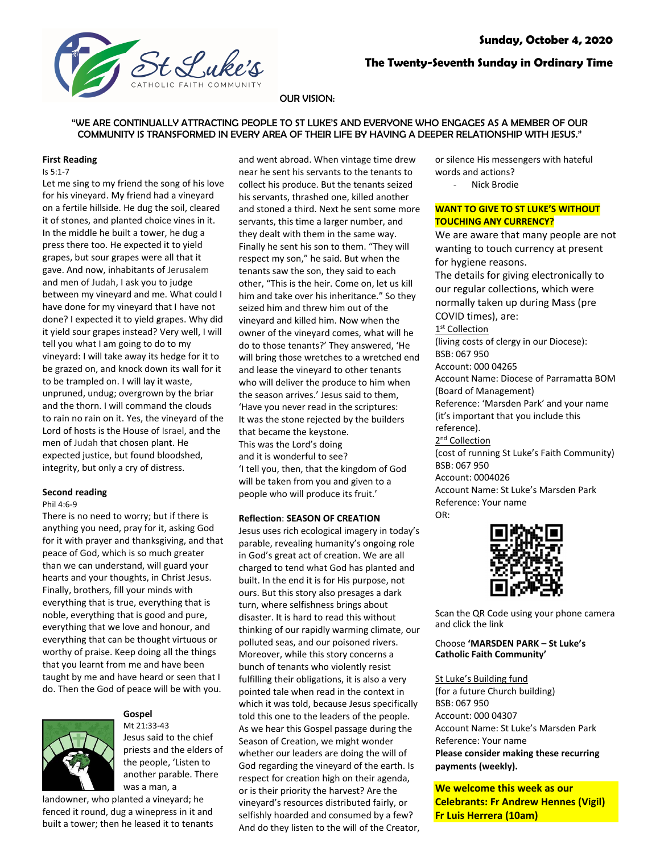

# **The Twenty-Seventh Sunday in Ordinary Time**

### OUR VISION:

# "WE ARE CONTINUALLY ATTRACTING PEOPLE TO ST LUKE'S AND EVERYONE WHO ENGAGES AS A MEMBER OF OUR COMMUNITY IS TRANSFORMED IN EVERY AREA OF THEIR LIFE BY HAVING A DEEPER RELATIONSHIP WITH JESUS."

#### **First Reading**

### Is 5:1-7

Let me sing to my friend the song of his love for his vineyard. My friend had a vineyard on a fertile hillside. He dug the soil, cleared it of stones, and planted choice vines in it. In the middle he built a tower, he dug a press there too. He expected it to yield grapes, but sour grapes were all that it gave. And now, inhabitants of Jerusalem and men of Judah, I ask you to judge between my vineyard and me. What could I have done for my vineyard that I have not done? I expected it to yield grapes. Why did it yield sour grapes instead? Very well, I will tell you what I am going to do to my vineyard: I will take away its hedge for it to be grazed on, and knock down its wall for it to be trampled on. I will lay it waste, unpruned, undug; overgrown by the briar and the thorn. I will command the clouds to rain no rain on it. Yes, the vineyard of the Lord of hosts is the House of Israel, and the men of Judah that chosen plant. He expected justice, but found bloodshed, integrity, but only a cry of distress.

### **Second reading**

### Phil 4:6-9

There is no need to worry; but if there is anything you need, pray for it, asking God for it with prayer and thanksgiving, and that peace of God, which is so much greater than we can understand, will guard your hearts and your thoughts, in Christ Jesus. Finally, brothers, fill your minds with everything that is true, everything that is noble, everything that is good and pure, everything that we love and honour, and everything that can be thought virtuous or worthy of praise. Keep doing all the things that you learnt from me and have been taught by me and have heard or seen that I do. Then the God of peace will be with you.



# **Gospel**

Mt 21:33-43 Jesus said to the chief priests and the elders of the people, 'Listen to another parable. There was a man, a

landowner, who planted a vineyard; he fenced it round, dug a winepress in it and built a tower; then he leased it to tenants

and went abroad. When vintage time drew near he sent his servants to the tenants to collect his produce. But the tenants seized his servants, thrashed one, killed another and stoned a third. Next he sent some more servants, this time a larger number, and they dealt with them in the same way. Finally he sent his son to them. "They will respect my son," he said. But when the tenants saw the son, they said to each other, "This is the heir. Come on, let us kill him and take over his inheritance." So they seized him and threw him out of the vineyard and killed him. Now when the owner of the vineyard comes, what will he do to those tenants?' They answered, 'He will bring those wretches to a wretched end and lease the vineyard to other tenants who will deliver the produce to him when the season arrives.' Jesus said to them, 'Have you never read in the scriptures: It was the stone rejected by the builders that became the keystone. This was the Lord's doing and it is wonderful to see? 'I tell you, then, that the kingdom of God will be taken from you and given to a people who will produce its fruit.'

### **Reflection**: **SEASON OF CREATION**

Jesus uses rich ecological imagery in today's parable, revealing humanity's ongoing role in God's great act of creation. We are all charged to tend what God has planted and built. In the end it is for His purpose, not ours. But this story also presages a dark turn, where selfishness brings about disaster. It is hard to read this without thinking of our rapidly warming climate, our polluted seas, and our poisoned rivers. Moreover, while this story concerns a bunch of tenants who violently resist fulfilling their obligations, it is also a very pointed tale when read in the context in which it was told, because Jesus specifically told this one to the leaders of the people. As we hear this Gospel passage during the Season of Creation, we might wonder whether our leaders are doing the will of God regarding the vineyard of the earth. Is respect for creation high on their agenda, or is their priority the harvest? Are the vineyard's resources distributed fairly, or selfishly hoarded and consumed by a few? And do they listen to the will of the Creator, or silence His messengers with hateful words and actions? Nick Brodie

## **WANT TO GIVE TO ST LUKE'S WITHOUT TOUCHING ANY CURRENCY?**

We are aware that many people are not wanting to touch currency at present for hygiene reasons. The details for giving electronically to our regular collections, which were normally taken up during Mass (pre COVID times), are: 1<sup>st</sup> Collection (living costs of clergy in our Diocese): BSB: 067 950 Account: 000 04265 Account Name: Diocese of Parramatta BOM (Board of Management) Reference: 'Marsden Park' and your name (it's important that you include this reference). 2<sup>nd</sup> Collection (cost of running St Luke's Faith Community) BSB: 067 950 Account: 0004026 Account Name: St Luke's Marsden Park Reference: Your name OR:



Scan the QR Code using your phone camera and click the link

### Choose **'MARSDEN PARK – St Luke's Catholic Faith Community'**

# St Luke's Building fund

(for a future Church building) BSB: 067 950 Account: 000 04307 Account Name: St Luke's Marsden Park Reference: Your name **Please consider making these recurring payments (weekly).**

**We welcome this week as our Celebrants: Fr Andrew Hennes (Vigil) Fr Luis Herrera (10am)**